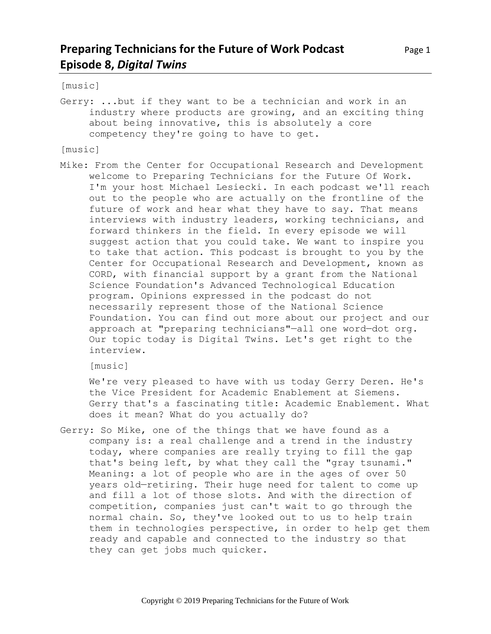# **Preparing Technicians for the Future of Work Podcast** Page 1 **Episode 8,** *Digital Twins*

[music]

Gerry: ...but if they want to be a technician and work in an industry where products are growing, and an exciting thing about being innovative, this is absolutely a core competency they're going to have to get.

[music]

Mike: From the Center for Occupational Research and Development welcome to Preparing Technicians for the Future Of Work. I'm your host Michael Lesiecki. In each podcast we'll reach out to the people who are actually on the frontline of the future of work and hear what they have to say. That means interviews with industry leaders, working technicians, and forward thinkers in the field. In every episode we will suggest action that you could take. We want to inspire you to take that action. This podcast is brought to you by the Center for Occupational Research and Development, known as CORD, with financial support by a grant from the National Science Foundation's Advanced Technological Education program. Opinions expressed in the podcast do not necessarily represent those of the National Science Foundation. You can find out more about our project and our approach at "preparing technicians"—all one word—dot org. Our topic today is Digital Twins. Let's get right to the interview.

[music]

We're very pleased to have with us today Gerry Deren. He's the Vice President for Academic Enablement at Siemens. Gerry that's a fascinating title: Academic Enablement. What does it mean? What do you actually do?

Gerry: So Mike, one of the things that we have found as a company is: a real challenge and a trend in the industry today, where companies are really trying to fill the gap that's being left, by what they call the "gray tsunami." Meaning: a lot of people who are in the ages of over 50 years old—retiring. Their huge need for talent to come up and fill a lot of those slots. And with the direction of competition, companies just can't wait to go through the normal chain. So, they've looked out to us to help train them in technologies perspective, in order to help get them ready and capable and connected to the industry so that they can get jobs much quicker.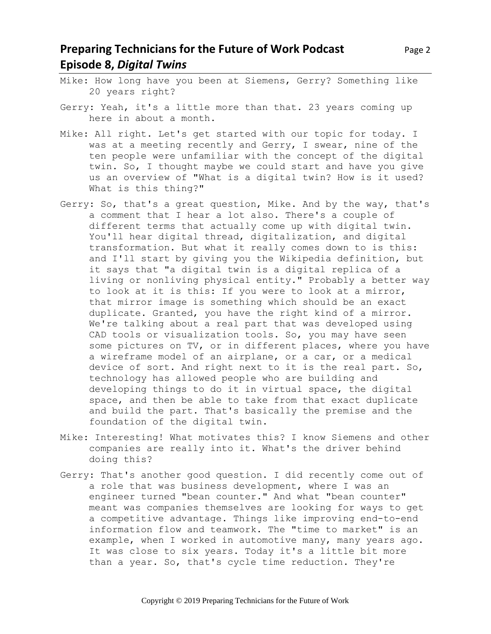# **Preparing Technicians for the Future of Work Podcast** Page 2 **Episode 8,** *Digital Twins*

- Mike: How long have you been at Siemens, Gerry? Something like 20 years right?
- Gerry: Yeah, it's a little more than that. 23 years coming up here in about a month.
- Mike: All right. Let's get started with our topic for today. I was at a meeting recently and Gerry, I swear, nine of the ten people were unfamiliar with the concept of the digital twin. So, I thought maybe we could start and have you give us an overview of "What is a digital twin? How is it used? What is this thing?"
- Gerry: So, that's a great question, Mike. And by the way, that's a comment that I hear a lot also. There's a couple of different terms that actually come up with digital twin. You'll hear digital thread, digitalization, and digital transformation. But what it really comes down to is this: and I'll start by giving you the Wikipedia definition, but it says that "a digital twin is a digital replica of a living or nonliving physical entity." Probably a better way to look at it is this: If you were to look at a mirror, that mirror image is something which should be an exact duplicate. Granted, you have the right kind of a mirror. We're talking about a real part that was developed using CAD tools or visualization tools. So, you may have seen some pictures on TV, or in different places, where you have a wireframe model of an airplane, or a car, or a medical device of sort. And right next to it is the real part. So, technology has allowed people who are building and developing things to do it in virtual space, the digital space, and then be able to take from that exact duplicate and build the part. That's basically the premise and the foundation of the digital twin.
- Mike: Interesting! What motivates this? I know Siemens and other companies are really into it. What's the driver behind doing this?
- Gerry: That's another good question. I did recently come out of a role that was business development, where I was an engineer turned "bean counter." And what "bean counter" meant was companies themselves are looking for ways to get a competitive advantage. Things like improving end-to-end information flow and teamwork. The "time to market" is an example, when I worked in automotive many, many years ago. It was close to six years. Today it's a little bit more than a year. So, that's cycle time reduction. They're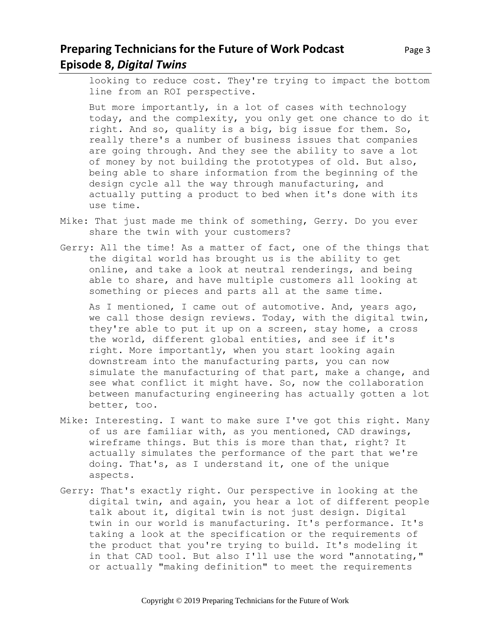# **Preparing Technicians for the Future of Work Podcast** Page 3 **Episode 8,** *Digital Twins*

looking to reduce cost. They're trying to impact the bottom line from an ROI perspective.

But more importantly, in a lot of cases with technology today, and the complexity, you only get one chance to do it right. And so, quality is a big, big issue for them. So, really there's a number of business issues that companies are going through. And they see the ability to save a lot of money by not building the prototypes of old. But also, being able to share information from the beginning of the design cycle all the way through manufacturing, and actually putting a product to bed when it's done with its use time.

- Mike: That just made me think of something, Gerry. Do you ever share the twin with your customers?
- Gerry: All the time! As a matter of fact, one of the things that the digital world has brought us is the ability to get online, and take a look at neutral renderings, and being able to share, and have multiple customers all looking at something or pieces and parts all at the same time.

As I mentioned, I came out of automotive. And, years ago, we call those design reviews. Today, with the digital twin, they're able to put it up on a screen, stay home, a cross the world, different global entities, and see if it's right. More importantly, when you start looking again downstream into the manufacturing parts, you can now simulate the manufacturing of that part, make a change, and see what conflict it might have. So, now the collaboration between manufacturing engineering has actually gotten a lot better, too.

- Mike: Interesting. I want to make sure I've got this right. Many of us are familiar with, as you mentioned, CAD drawings, wireframe things. But this is more than that, right? It actually simulates the performance of the part that we're doing. That's, as I understand it, one of the unique aspects.
- Gerry: That's exactly right. Our perspective in looking at the digital twin, and again, you hear a lot of different people talk about it, digital twin is not just design. Digital twin in our world is manufacturing. It's performance. It's taking a look at the specification or the requirements of the product that you're trying to build. It's modeling it in that CAD tool. But also I'll use the word "annotating," or actually "making definition" to meet the requirements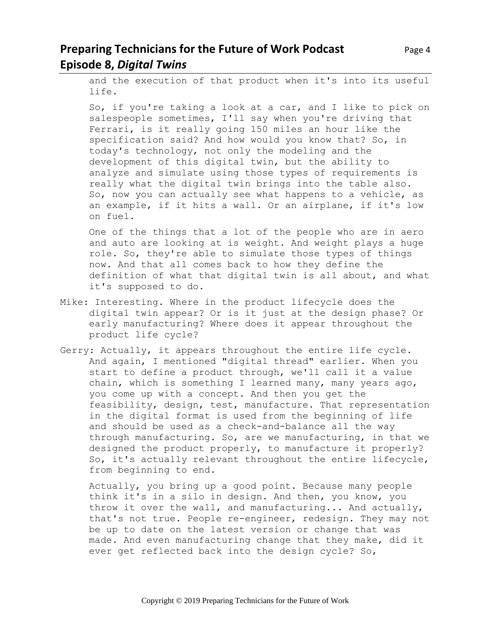# **Preparing Technicians for the Future of Work Podcast** Page 4 **Episode 8,** *Digital Twins*

and the execution of that product when it's into its useful life.

So, if you're taking a look at a car, and I like to pick on salespeople sometimes, I'll say when you're driving that Ferrari, is it really going 150 miles an hour like the specification said? And how would you know that? So, in today's technology, not only the modeling and the development of this digital twin, but the ability to analyze and simulate using those types of requirements is really what the digital twin brings into the table also. So, now you can actually see what happens to a vehicle, as an example, if it hits a wall. Or an airplane, if it's low on fuel.

One of the things that a lot of the people who are in aero and auto are looking at is weight. And weight plays a huge role. So, they're able to simulate those types of things now. And that all comes back to how they define the definition of what that digital twin is all about, and what it's supposed to do.

- Mike: Interesting. Where in the product lifecycle does the digital twin appear? Or is it just at the design phase? Or early manufacturing? Where does it appear throughout the product life cycle?
- Gerry: Actually, it appears throughout the entire life cycle. And again, I mentioned "digital thread" earlier. When you start to define a product through, we'll call it a value chain, which is something I learned many, many years ago, you come up with a concept. And then you get the feasibility, design, test, manufacture. That representation in the digital format is used from the beginning of life and should be used as a check-and-balance all the way through manufacturing. So, are we manufacturing, in that we designed the product properly, to manufacture it properly? So, it's actually relevant throughout the entire lifecycle, from beginning to end.

Actually, you bring up a good point. Because many people think it's in a silo in design. And then, you know, you throw it over the wall, and manufacturing... And actually, that's not true. People re-engineer, redesign. They may not be up to date on the latest version or change that was made. And even manufacturing change that they make, did it ever get reflected back into the design cycle? So,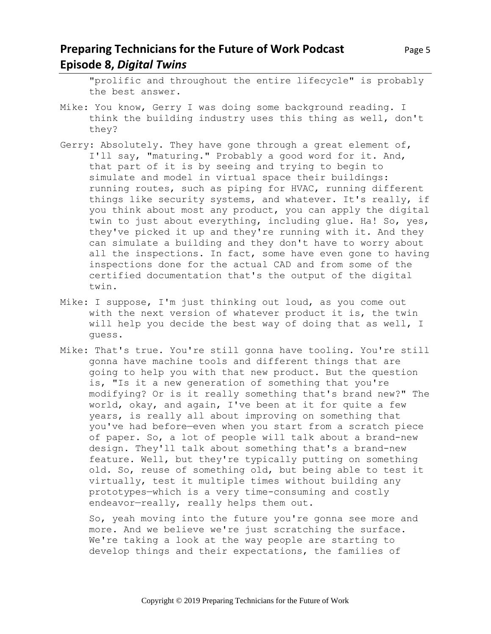### **Preparing Technicians for the Future of Work Podcast** Page 5 **Episode 8,** *Digital Twins*

"prolific and throughout the entire lifecycle" is probably the best answer.

- Mike: You know, Gerry I was doing some background reading. I think the building industry uses this thing as well, don't they?
- Gerry: Absolutely. They have gone through a great element of, I'll say, "maturing." Probably a good word for it. And, that part of it is by seeing and trying to begin to simulate and model in virtual space their buildings: running routes, such as piping for HVAC, running different things like security systems, and whatever. It's really, if you think about most any product, you can apply the digital twin to just about everything, including glue. Ha! So, yes, they've picked it up and they're running with it. And they can simulate a building and they don't have to worry about all the inspections. In fact, some have even gone to having inspections done for the actual CAD and from some of the certified documentation that's the output of the digital twin.
- Mike: I suppose, I'm just thinking out loud, as you come out with the next version of whatever product it is, the twin will help you decide the best way of doing that as well, I guess.
- Mike: That's true. You're still gonna have tooling. You're still gonna have machine tools and different things that are going to help you with that new product. But the question is, "Is it a new generation of something that you're modifying? Or is it really something that's brand new?" The world, okay, and again, I've been at it for quite a few years, is really all about improving on something that you've had before—even when you start from a scratch piece of paper. So, a lot of people will talk about a brand-new design. They'll talk about something that's a brand-new feature. Well, but they're typically putting on something old. So, reuse of something old, but being able to test it virtually, test it multiple times without building any prototypes—which is a very time-consuming and costly endeavor—really, really helps them out.

So, yeah moving into the future you're gonna see more and more. And we believe we're just scratching the surface. We're taking a look at the way people are starting to develop things and their expectations, the families of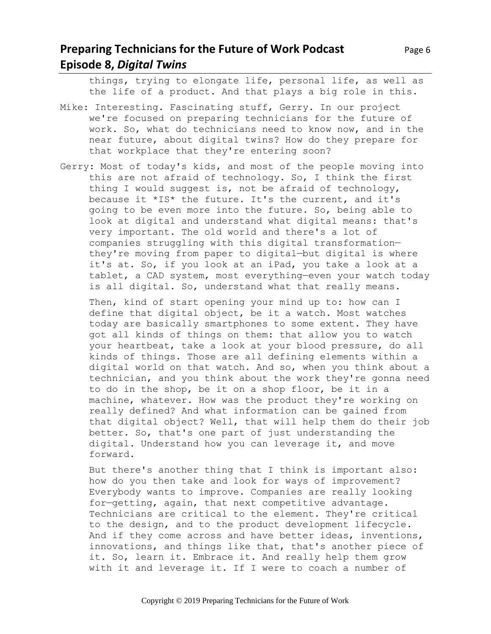### **Preparing Technicians for the Future of Work Podcast** Page 6 **Episode 8,** *Digital Twins*

things, trying to elongate life, personal life, as well as the life of a product. And that plays a big role in this.

- Mike: Interesting. Fascinating stuff, Gerry. In our project we're focused on preparing technicians for the future of work. So, what do technicians need to know now, and in the near future, about digital twins? How do they prepare for that workplace that they're entering soon?
- Gerry: Most of today's kids, and most of the people moving into this are not afraid of technology. So, I think the first thing I would suggest is, not be afraid of technology, because it \*IS\* the future. It's the current, and it's going to be even more into the future. So, being able to look at digital and understand what digital means: that's very important. The old world and there's a lot of companies struggling with this digital transformation they're moving from paper to digital—but digital is where it's at. So, if you look at an iPad, you take a look at a tablet, a CAD system, most everything—even your watch today is all digital. So, understand what that really means.

Then, kind of start opening your mind up to: how can I define that digital object, be it a watch. Most watches today are basically smartphones to some extent. They have got all kinds of things on them: that allow you to watch your heartbeat, take a look at your blood pressure, do all kinds of things. Those are all defining elements within a digital world on that watch. And so, when you think about a technician, and you think about the work they're gonna need to do in the shop, be it on a shop floor, be it in a machine, whatever. How was the product they're working on really defined? And what information can be gained from that digital object? Well, that will help them do their job better. So, that's one part of just understanding the digital. Understand how you can leverage it, and move forward.

But there's another thing that I think is important also: how do you then take and look for ways of improvement? Everybody wants to improve. Companies are really looking for—getting, again, that next competitive advantage. Technicians are critical to the element. They're critical to the design, and to the product development lifecycle. And if they come across and have better ideas, inventions, innovations, and things like that, that's another piece of it. So, learn it. Embrace it. And really help them grow with it and leverage it. If I were to coach a number of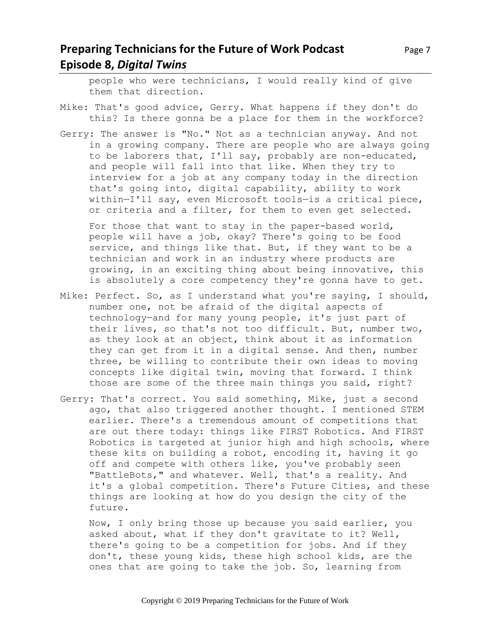# **Preparing Technicians for the Future of Work Podcast** Page 7 **Episode 8,** *Digital Twins*

people who were technicians, I would really kind of give them that direction.

- Mike: That's good advice, Gerry. What happens if they don't do this? Is there gonna be a place for them in the workforce?
- Gerry: The answer is "No." Not as a technician anyway. And not in a growing company. There are people who are always going to be laborers that, I'll say, probably are non-educated, and people will fall into that like. When they try to interview for a job at any company today in the direction that's going into, digital capability, ability to work within—I'll say, even Microsoft tools—is a critical piece, or criteria and a filter, for them to even get selected.

For those that want to stay in the paper-based world, people will have a job, okay? There's going to be food service, and things like that. But, if they want to be a technician and work in an industry where products are growing, in an exciting thing about being innovative, this is absolutely a core competency they're gonna have to get.

- Mike: Perfect. So, as I understand what you're saying, I should, number one, not be afraid of the digital aspects of technology—and for many young people, it's just part of their lives, so that's not too difficult. But, number two, as they look at an object, think about it as information they can get from it in a digital sense. And then, number three, be willing to contribute their own ideas to moving concepts like digital twin, moving that forward. I think those are some of the three main things you said, right?
- Gerry: That's correct. You said something, Mike, just a second ago, that also triggered another thought. I mentioned STEM earlier. There's a tremendous amount of competitions that are out there today: things like FIRST Robotics. And FIRST Robotics is targeted at junior high and high schools, where these kits on building a robot, encoding it, having it go off and compete with others like, you've probably seen "BattleBots," and whatever. Well, that's a reality. And it's a global competition. There's Future Cities, and these things are looking at how do you design the city of the future.

Now, I only bring those up because you said earlier, you asked about, what if they don't gravitate to it? Well, there's going to be a competition for jobs. And if they don't, these young kids, these high school kids, are the ones that are going to take the job. So, learning from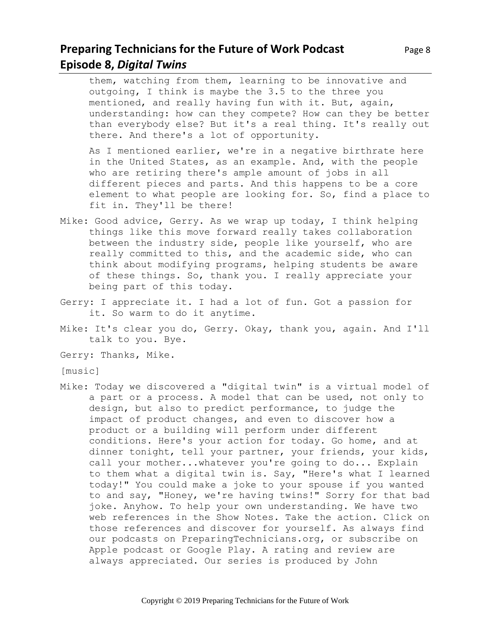### **Preparing Technicians for the Future of Work Podcast** Page 8 **Episode 8,** *Digital Twins*

them, watching from them, learning to be innovative and outgoing, I think is maybe the 3.5 to the three you mentioned, and really having fun with it. But, again, understanding: how can they compete? How can they be better than everybody else? But it's a real thing. It's really out there. And there's a lot of opportunity.

As I mentioned earlier, we're in a negative birthrate here in the United States, as an example. And, with the people who are retiring there's ample amount of jobs in all different pieces and parts. And this happens to be a core element to what people are looking for. So, find a place to fit in. They'll be there!

- Mike: Good advice, Gerry. As we wrap up today, I think helping things like this move forward really takes collaboration between the industry side, people like yourself, who are really committed to this, and the academic side, who can think about modifying programs, helping students be aware of these things. So, thank you. I really appreciate your being part of this today.
- Gerry: I appreciate it. I had a lot of fun. Got a passion for it. So warm to do it anytime.
- Mike: It's clear you do, Gerry. Okay, thank you, again. And I'll talk to you. Bye.
- Gerry: Thanks, Mike.
- [music]
- Mike: Today we discovered a "digital twin" is a virtual model of a part or a process. A model that can be used, not only to design, but also to predict performance, to judge the impact of product changes, and even to discover how a product or a building will perform under different conditions. Here's your action for today. Go home, and at dinner tonight, tell your partner, your friends, your kids, call your mother...whatever you're going to do... Explain to them what a digital twin is. Say, "Here's what I learned today!" You could make a joke to your spouse if you wanted to and say, "Honey, we're having twins!" Sorry for that bad joke. Anyhow. To help your own understanding. We have two web references in the Show Notes. Take the action. Click on those references and discover for yourself. As always find our podcasts on PreparingTechnicians.org, or subscribe on Apple podcast or Google Play. A rating and review are always appreciated. Our series is produced by John